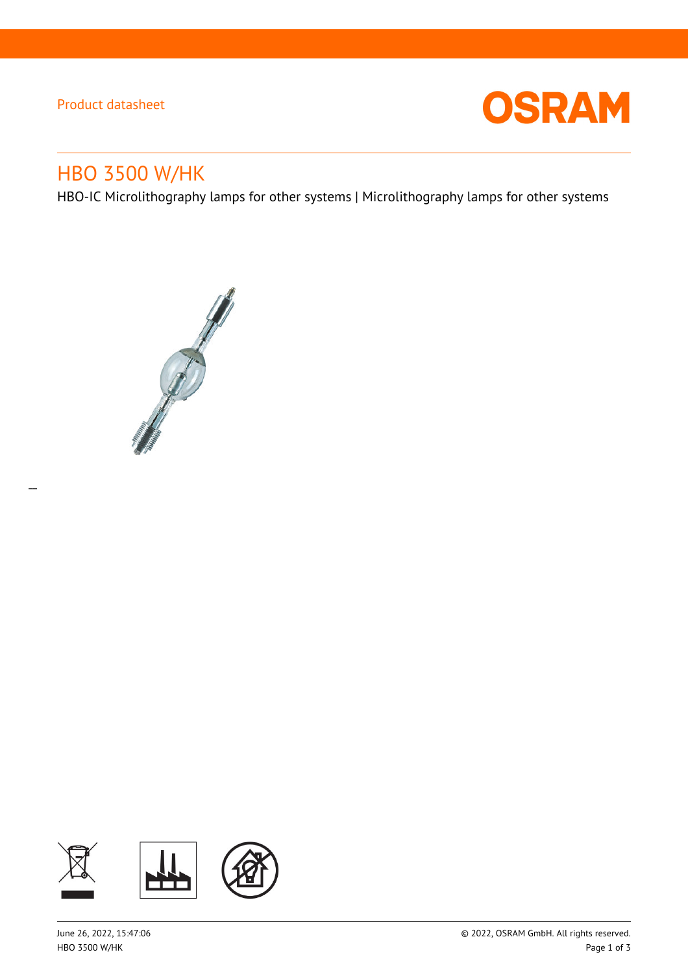## Product datasheet

 $\overline{a}$ 



# HBO 3500 W/HK

HBO-IC Microlithography lamps for other systems | Microlithography lamps for other systems



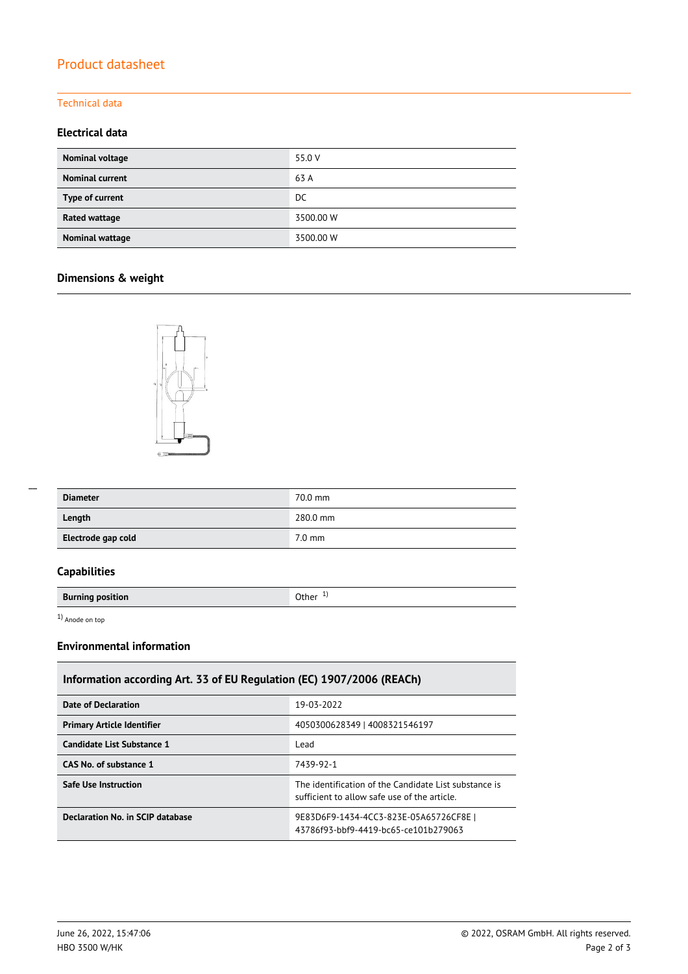# Product datasheet

### Technical data

#### **Electrical data**

| Nominal voltage        | 55.0 V    |
|------------------------|-----------|
| <b>Nominal current</b> | 63 A      |
| Type of current        | DC        |
| Rated wattage          | 3500.00 W |
| Nominal wattage        | 3500.00 W |

# **Dimensions & weight**



| <b>Diameter</b>    | 70.0 mm          |
|--------------------|------------------|
| Length             | 280.0 mm         |
| Electrode gap cold | $7.0 \text{ mm}$ |

## **Capabilities**

**Burning position Burning position** 

1) Anode on top

#### **Environmental information**

| Information according Art. 33 of EU Regulation (EC) 1907/2006 (REACh) |                                                                                                       |  |  |  |
|-----------------------------------------------------------------------|-------------------------------------------------------------------------------------------------------|--|--|--|
| Date of Declaration                                                   | 19-03-2022                                                                                            |  |  |  |
| <b>Primary Article Identifier</b>                                     | 4050300628349   4008321546197                                                                         |  |  |  |
| Candidate List Substance 1                                            | Lead                                                                                                  |  |  |  |
| CAS No. of substance 1                                                | 7439-92-1                                                                                             |  |  |  |
| Safe Use Instruction                                                  | The identification of the Candidate List substance is<br>sufficient to allow safe use of the article. |  |  |  |
| Declaration No. in SCIP database                                      | 9E83D6F9-1434-4CC3-823E-05A65726CF8E  <br>43786f93-bbf9-4419-bc65-ce101b279063                        |  |  |  |